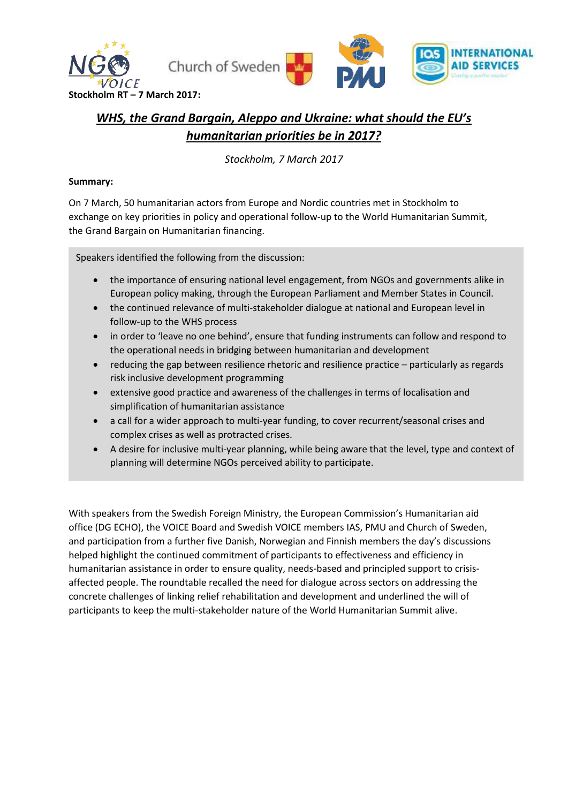

# *WHS, the Grand Bargain, Aleppo and Ukraine: what should the EU's humanitarian priorities be in 2017?*

*Stockholm, 7 March 2017*

### **Summary:**

On 7 March, 50 humanitarian actors from Europe and Nordic countries met in Stockholm to exchange on key priorities in policy and operational follow-up to the World Humanitarian Summit, the Grand Bargain on Humanitarian financing.

Speakers identified the following from the discussion:

- the importance of ensuring national level engagement, from NGOs and governments alike in European policy making, through the European Parliament and Member States in Council.
- the continued relevance of multi-stakeholder dialogue at national and European level in follow-up to the WHS process
- in order to 'leave no one behind', ensure that funding instruments can follow and respond to the operational needs in bridging between humanitarian and development
- reducing the gap between resilience rhetoric and resilience practice particularly as regards risk inclusive development programming
- extensive good practice and awareness of the challenges in terms of localisation and simplification of humanitarian assistance
- a call for a wider approach to multi-year funding, to cover recurrent/seasonal crises and complex crises as well as protracted crises.
- A desire for inclusive multi-year planning, while being aware that the level, type and context of planning will determine NGOs perceived ability to participate.

With speakers from the Swedish Foreign Ministry, the European Commission's Humanitarian aid office (DG ECHO), the VOICE Board and Swedish VOICE members IAS, PMU and Church of Sweden, and participation from a further five Danish, Norwegian and Finnish members the day's discussions helped highlight the continued commitment of participants to effectiveness and efficiency in humanitarian assistance in order to ensure quality, needs-based and principled support to crisisaffected people. The roundtable recalled the need for dialogue across sectors on addressing the concrete challenges of linking relief rehabilitation and development and underlined the will of participants to keep the multi-stakeholder nature of the World Humanitarian Summit alive.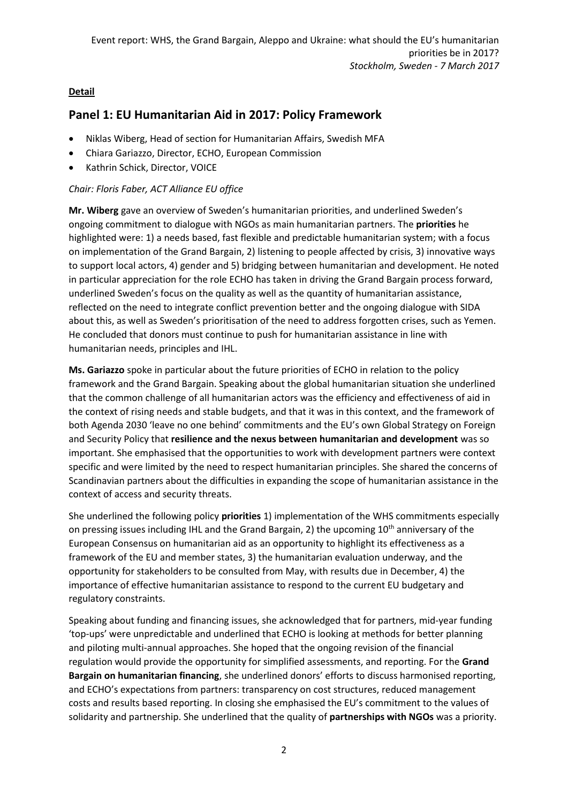### **Detail**

### **Panel 1: EU Humanitarian Aid in 2017: Policy Framework**

- Niklas Wiberg, Head of section for Humanitarian Affairs, Swedish MFA
- Chiara Gariazzo, Director, ECHO, European Commission
- Kathrin Schick, Director, VOICE

### *Chair: Floris Faber, ACT Alliance EU office*

**Mr. Wiberg** gave an overview of Sweden's humanitarian priorities, and underlined Sweden's ongoing commitment to dialogue with NGOs as main humanitarian partners. The **priorities** he highlighted were: 1) a needs based, fast flexible and predictable humanitarian system; with a focus on implementation of the Grand Bargain, 2) listening to people affected by crisis, 3) innovative ways to support local actors, 4) gender and 5) bridging between humanitarian and development. He noted in particular appreciation for the role ECHO has taken in driving the Grand Bargain process forward, underlined Sweden's focus on the quality as well as the quantity of humanitarian assistance, reflected on the need to integrate conflict prevention better and the ongoing dialogue with SIDA about this, as well as Sweden's prioritisation of the need to address forgotten crises, such as Yemen. He concluded that donors must continue to push for humanitarian assistance in line with humanitarian needs, principles and IHL.

**Ms. Gariazzo** spoke in particular about the future priorities of ECHO in relation to the policy framework and the Grand Bargain. Speaking about the global humanitarian situation she underlined that the common challenge of all humanitarian actors was the efficiency and effectiveness of aid in the context of rising needs and stable budgets, and that it was in this context, and the framework of both Agenda 2030 'leave no one behind' commitments and the EU's own Global Strategy on Foreign and Security Policy that **resilience and the nexus between humanitarian and development** was so important. She emphasised that the opportunities to work with development partners were context specific and were limited by the need to respect humanitarian principles. She shared the concerns of Scandinavian partners about the difficulties in expanding the scope of humanitarian assistance in the context of access and security threats.

She underlined the following policy **priorities** 1) implementation of the WHS commitments especially on pressing issues including IHL and the Grand Bargain, 2) the upcoming  $10<sup>th</sup>$  anniversary of the European Consensus on humanitarian aid as an opportunity to highlight its effectiveness as a framework of the EU and member states, 3) the humanitarian evaluation underway, and the opportunity for stakeholders to be consulted from May, with results due in December, 4) the importance of effective humanitarian assistance to respond to the current EU budgetary and regulatory constraints.

Speaking about funding and financing issues, she acknowledged that for partners, mid-year funding 'top-ups' were unpredictable and underlined that ECHO is looking at methods for better planning and piloting multi-annual approaches. She hoped that the ongoing revision of the financial regulation would provide the opportunity for simplified assessments, and reporting. For the **Grand Bargain on humanitarian financing**, she underlined donors' efforts to discuss harmonised reporting, and ECHO's expectations from partners: transparency on cost structures, reduced management costs and results based reporting. In closing she emphasised the EU's commitment to the values of solidarity and partnership. She underlined that the quality of **partnerships with NGOs** was a priority.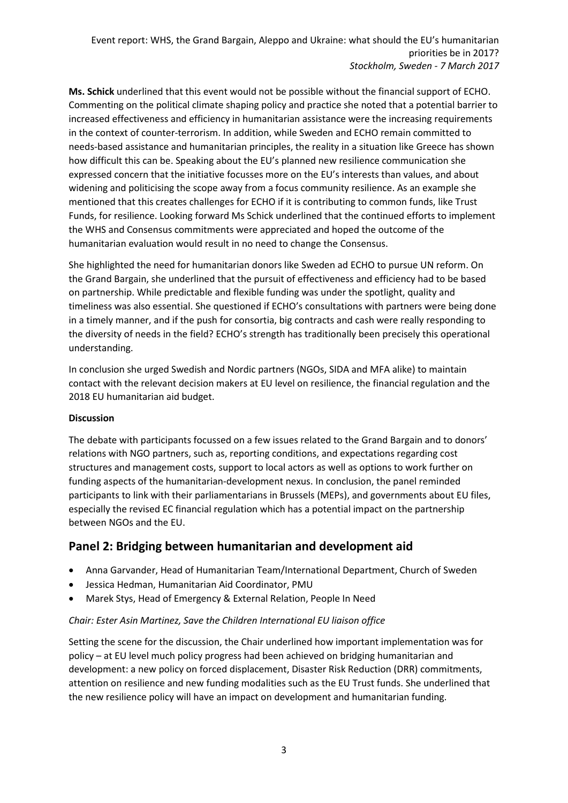**Ms. Schick** underlined that this event would not be possible without the financial support of ECHO. Commenting on the political climate shaping policy and practice she noted that a potential barrier to increased effectiveness and efficiency in humanitarian assistance were the increasing requirements in the context of counter-terrorism. In addition, while Sweden and ECHO remain committed to needs-based assistance and humanitarian principles, the reality in a situation like Greece has shown how difficult this can be. Speaking about the EU's planned new resilience communication she expressed concern that the initiative focusses more on the EU's interests than values, and about widening and politicising the scope away from a focus community resilience. As an example she mentioned that this creates challenges for ECHO if it is contributing to common funds, like Trust Funds, for resilience. Looking forward Ms Schick underlined that the continued efforts to implement the WHS and Consensus commitments were appreciated and hoped the outcome of the humanitarian evaluation would result in no need to change the Consensus.

She highlighted the need for humanitarian donors like Sweden ad ECHO to pursue UN reform. On the Grand Bargain, she underlined that the pursuit of effectiveness and efficiency had to be based on partnership. While predictable and flexible funding was under the spotlight, quality and timeliness was also essential. She questioned if ECHO's consultations with partners were being done in a timely manner, and if the push for consortia, big contracts and cash were really responding to the diversity of needs in the field? ECHO's strength has traditionally been precisely this operational understanding.

In conclusion she urged Swedish and Nordic partners (NGOs, SIDA and MFA alike) to maintain contact with the relevant decision makers at EU level on resilience, the financial regulation and the 2018 EU humanitarian aid budget.

### **Discussion**

The debate with participants focussed on a few issues related to the Grand Bargain and to donors' relations with NGO partners, such as, reporting conditions, and expectations regarding cost structures and management costs, support to local actors as well as options to work further on funding aspects of the humanitarian-development nexus. In conclusion, the panel reminded participants to link with their parliamentarians in Brussels (MEPs), and governments about EU files, especially the revised EC financial regulation which has a potential impact on the partnership between NGOs and the EU.

### **Panel 2: Bridging between humanitarian and development aid**

- Anna Garvander, Head of Humanitarian Team/International Department, Church of Sweden
- Jessica Hedman, Humanitarian Aid Coordinator, PMU
- Marek Stys, Head of Emergency & External Relation, People In Need

### *Chair: Ester Asin Martinez, Save the Children International EU liaison office*

Setting the scene for the discussion, the Chair underlined how important implementation was for policy – at EU level much policy progress had been achieved on bridging humanitarian and development: a new policy on forced displacement, Disaster Risk Reduction (DRR) commitments, attention on resilience and new funding modalities such as the EU Trust funds. She underlined that the new resilience policy will have an impact on development and humanitarian funding.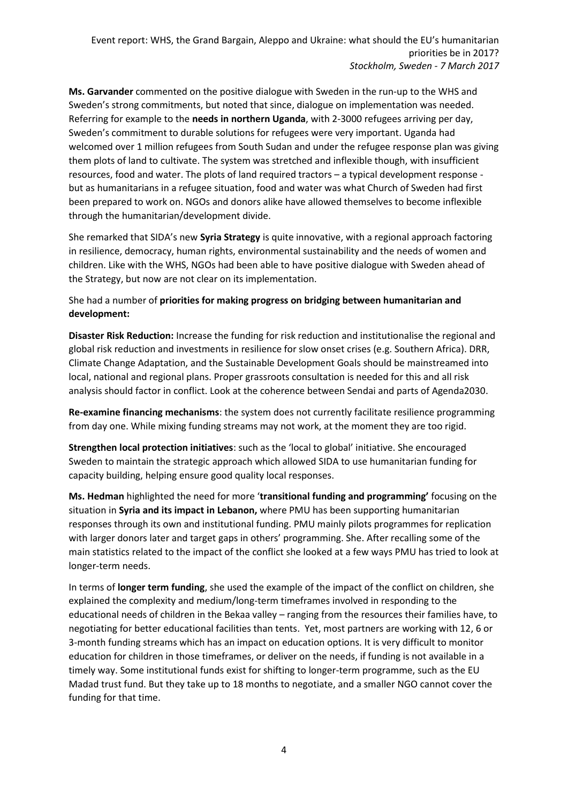**Ms. Garvander** commented on the positive dialogue with Sweden in the run-up to the WHS and Sweden's strong commitments, but noted that since, dialogue on implementation was needed. Referring for example to the **needs in northern Uganda**, with 2-3000 refugees arriving per day, Sweden's commitment to durable solutions for refugees were very important. Uganda had welcomed over 1 million refugees from South Sudan and under the refugee response plan was giving them plots of land to cultivate. The system was stretched and inflexible though, with insufficient resources, food and water. The plots of land required tractors – a typical development response but as humanitarians in a refugee situation, food and water was what Church of Sweden had first been prepared to work on. NGOs and donors alike have allowed themselves to become inflexible through the humanitarian/development divide.

She remarked that SIDA's new **Syria Strategy** is quite innovative, with a regional approach factoring in resilience, democracy, human rights, environmental sustainability and the needs of women and children. Like with the WHS, NGOs had been able to have positive dialogue with Sweden ahead of the Strategy, but now are not clear on its implementation.

### She had a number of **priorities for making progress on bridging between humanitarian and development:**

**Disaster Risk Reduction:** Increase the funding for risk reduction and institutionalise the regional and global risk reduction and investments in resilience for slow onset crises (e.g. Southern Africa). DRR, Climate Change Adaptation, and the Sustainable Development Goals should be mainstreamed into local, national and regional plans. Proper grassroots consultation is needed for this and all risk analysis should factor in conflict. Look at the coherence between Sendai and parts of Agenda2030.

**Re-examine financing mechanisms**: the system does not currently facilitate resilience programming from day one. While mixing funding streams may not work, at the moment they are too rigid.

**Strengthen local protection initiatives**: such as the 'local to global' initiative. She encouraged Sweden to maintain the strategic approach which allowed SIDA to use humanitarian funding for capacity building, helping ensure good quality local responses.

**Ms. Hedman** highlighted the need for more '**transitional funding and programming'** focusing on the situation in **Syria and its impact in Lebanon,** where PMU has been supporting humanitarian responses through its own and institutional funding. PMU mainly pilots programmes for replication with larger donors later and target gaps in others' programming. She. After recalling some of the main statistics related to the impact of the conflict she looked at a few ways PMU has tried to look at longer-term needs.

In terms of **longer term funding**, she used the example of the impact of the conflict on children, she explained the complexity and medium/long-term timeframes involved in responding to the educational needs of children in the Bekaa valley – ranging from the resources their families have, to negotiating for better educational facilities than tents. Yet, most partners are working with 12, 6 or 3-month funding streams which has an impact on education options. It is very difficult to monitor education for children in those timeframes, or deliver on the needs, if funding is not available in a timely way. Some institutional funds exist for shifting to longer-term programme, such as the EU Madad trust fund. But they take up to 18 months to negotiate, and a smaller NGO cannot cover the funding for that time.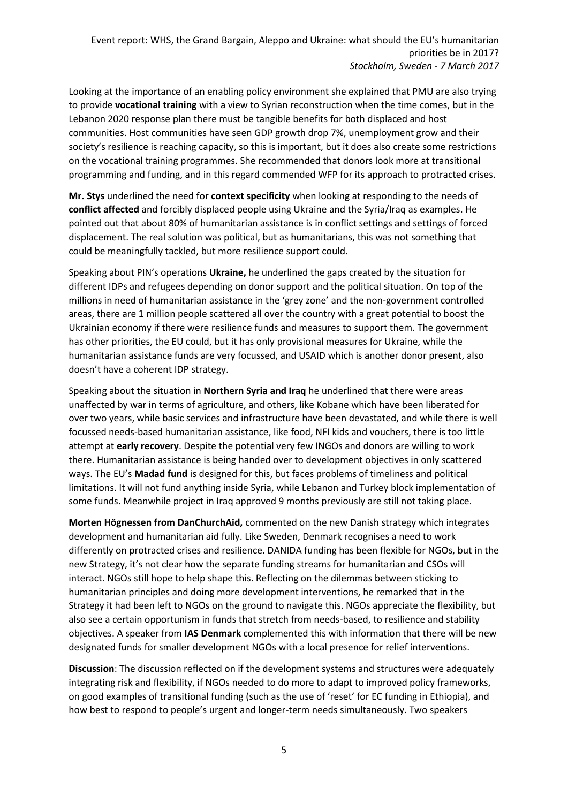Looking at the importance of an enabling policy environment she explained that PMU are also trying to provide **vocational training** with a view to Syrian reconstruction when the time comes, but in the Lebanon 2020 response plan there must be tangible benefits for both displaced and host communities. Host communities have seen GDP growth drop 7%, unemployment grow and their society's resilience is reaching capacity, so this is important, but it does also create some restrictions on the vocational training programmes. She recommended that donors look more at transitional programming and funding, and in this regard commended WFP for its approach to protracted crises.

**Mr. Stys** underlined the need for **context specificity** when looking at responding to the needs of **conflict affected** and forcibly displaced people using Ukraine and the Syria/Iraq as examples. He pointed out that about 80% of humanitarian assistance is in conflict settings and settings of forced displacement. The real solution was political, but as humanitarians, this was not something that could be meaningfully tackled, but more resilience support could.

Speaking about PIN's operations **Ukraine,** he underlined the gaps created by the situation for different IDPs and refugees depending on donor support and the political situation. On top of the millions in need of humanitarian assistance in the 'grey zone' and the non-government controlled areas, there are 1 million people scattered all over the country with a great potential to boost the Ukrainian economy if there were resilience funds and measures to support them. The government has other priorities, the EU could, but it has only provisional measures for Ukraine, while the humanitarian assistance funds are very focussed, and USAID which is another donor present, also doesn't have a coherent IDP strategy.

Speaking about the situation in **Northern Syria and Iraq** he underlined that there were areas unaffected by war in terms of agriculture, and others, like Kobane which have been liberated for over two years, while basic services and infrastructure have been devastated, and while there is well focussed needs-based humanitarian assistance, like food, NFI kids and vouchers, there is too little attempt at **early recovery**. Despite the potential very few INGOs and donors are willing to work there. Humanitarian assistance is being handed over to development objectives in only scattered ways. The EU's **Madad fund** is designed for this, but faces problems of timeliness and political limitations. It will not fund anything inside Syria, while Lebanon and Turkey block implementation of some funds. Meanwhile project in Iraq approved 9 months previously are still not taking place.

**Morten Högnessen from DanChurchAid,** commented on the new Danish strategy which integrates development and humanitarian aid fully. Like Sweden, Denmark recognises a need to work differently on protracted crises and resilience. DANIDA funding has been flexible for NGOs, but in the new Strategy, it's not clear how the separate funding streams for humanitarian and CSOs will interact. NGOs still hope to help shape this. Reflecting on the dilemmas between sticking to humanitarian principles and doing more development interventions, he remarked that in the Strategy it had been left to NGOs on the ground to navigate this. NGOs appreciate the flexibility, but also see a certain opportunism in funds that stretch from needs-based, to resilience and stability objectives. A speaker from **IAS Denmark** complemented this with information that there will be new designated funds for smaller development NGOs with a local presence for relief interventions.

**Discussion**: The discussion reflected on if the development systems and structures were adequately integrating risk and flexibility, if NGOs needed to do more to adapt to improved policy frameworks, on good examples of transitional funding (such as the use of 'reset' for EC funding in Ethiopia), and how best to respond to people's urgent and longer-term needs simultaneously. Two speakers